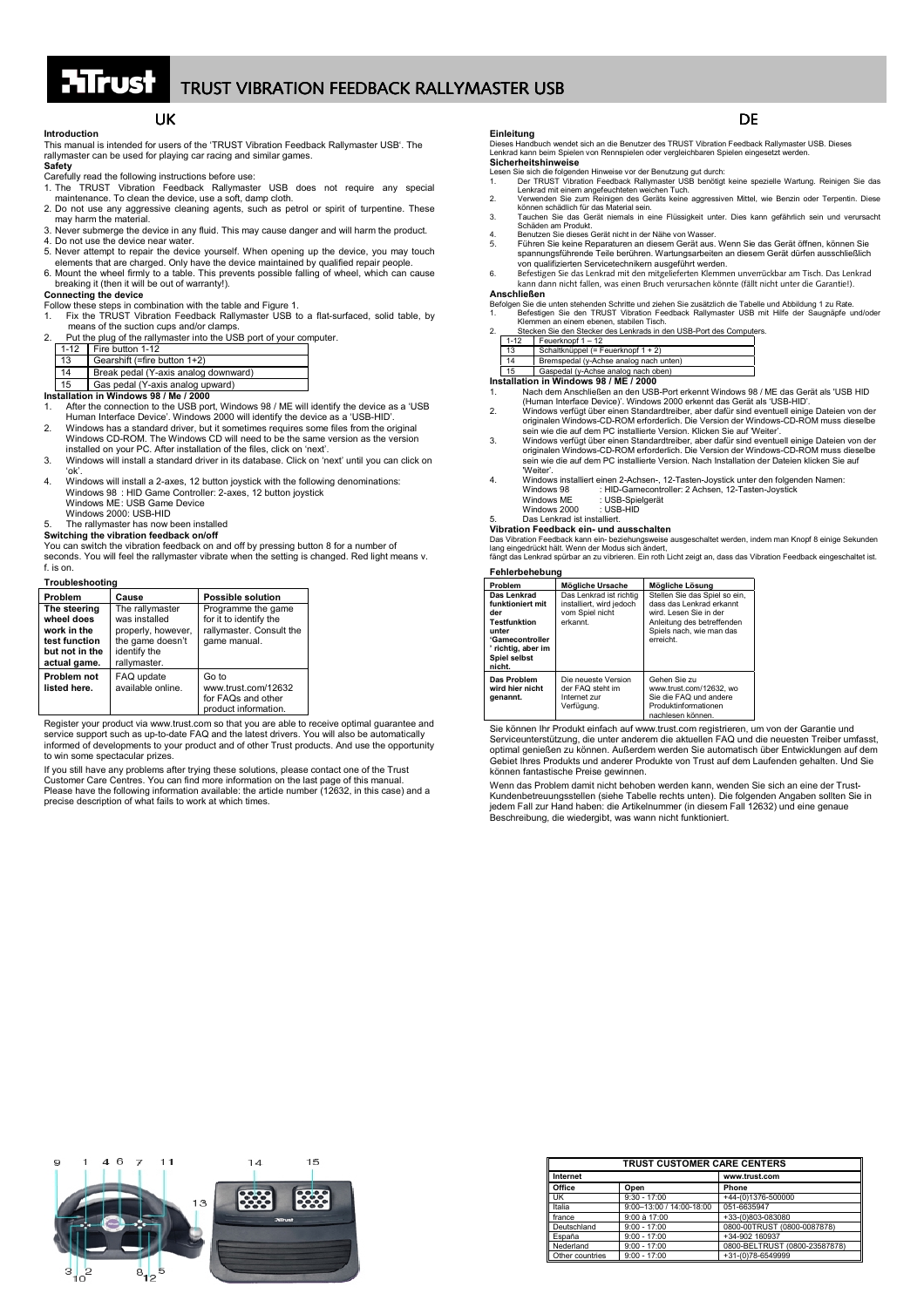## **Introduction**

This manual is intended for users of the 'TRUST Vibration Feedback Rallymaster USB'. The rallymaster can be used for playing car racing and similar games.

## **Safety**

- 
- Carefully read the following instructions before use:<br>1. The TRUST Vibration Feedback Rallymaster USB does not require any special<br>maintenance. To clean the device, use a soft, damp cloth. 2. Do not use any aggressive cleaning agents, such as petrol or spirit of turpentine. These
- may harm the material. 3. Never submerge the device in any fluid. This may cause danger and will harm the product.
- 4. Do not use the device near water.
- 5. Never attempt to repair the device yourself. When opening up the device, you may touch elements that are charged. Only have the device maintained by qualified repair people.
- 6. Mount the wheel firmly to a table. This prevents possible falling of wheel, which can cause breaking it (then it will be out of warranty!).

## **Connecting the device**

## Follow these steps in combination with the table and Figure 1.

- 1. Fix the TRUST Vibration Feedback Rallymaster USB to a flat-surfaced, solid table, by
- means of the suction cups and/or clamps.<br>2. Put the plug of the rallymaster into the USB port of your computer.

| <b>I</b> at the play of the languager like the bob port of |                                      |
|------------------------------------------------------------|--------------------------------------|
|                                                            | $1-12$ Fire button 1-12              |
| 13                                                         | Gearshift (=fire button 1+2)         |
| 14                                                         | Break pedal (Y-axis analog downward) |
| 15                                                         | Gas pedal (Y-axis analog upward)     |

**Installation in Windows 98 / Me / 2000**

- 1. After the connection to the USB port, Windows 98 / ME will identify the device as a 'USB Human Interface Device'. Windows 2000 will identify the device as a 'USB-HID'.
- 2. Windows has a standard driver, but it sometimes requires some files from the original Windows CD-ROM. The Windows CD will need to be the same version as the version installed on your PC. After installation of the files, click on 'next'.
- 3. Windows will install a standard driver in its database. Click on 'next' until you can click on 'ok'.
- 4. Windows will install a 2-axes, 12 button joystick with the following denominations: Windows 98 : HID Game Controller: 2-axes, 12 button joystick Windows ME: USB Game Device

Windows 2000: USB-HID

### 5. The rallymaster has now been installed **Switching the vibration feedback on/off**

You can switch the vibration feedback on and off by pressing button 8 for a number of seconds. You will feel the rallymaster vibrate when the setting is changed. Red light means v.  $f$  is on.

| Troubleshootina                                                                              |                                                                                                            |                                                                                          |  |
|----------------------------------------------------------------------------------------------|------------------------------------------------------------------------------------------------------------|------------------------------------------------------------------------------------------|--|
| Problem                                                                                      | Cause                                                                                                      | <b>Possible solution</b>                                                                 |  |
| The steering<br>wheel does<br>work in the<br>test function<br>but not in the<br>actual game. | The rallymaster<br>was installed<br>properly, however,<br>the game doesn't<br>identify the<br>rallymaster. | Programme the game<br>for it to identify the<br>rallymaster. Consult the<br>game manual. |  |
| Problem not<br>listed here.                                                                  | FAQ update<br>available online.                                                                            | Go to<br>www.trust.com/12632<br>for FAQs and other<br>product information.               |  |

Register your product via www.trust.com so that you are able to receive optimal guarantee and service support such as up-to-date FAQ and the latest drivers. You will also be automatically informed of developments to your product and of other Trust products. And use the opportunity to win some spectacular prizes.

If you still have any problems after trying these solutions, please contact one of the Trust Customer Care Centres. You can find more information on the last page of this manual. Please have the following information available: the article number (12632, in this case) and a precise description of what fails to work at which times.

UK<br>users of the 'TRUST Vibration Feedback Rallymaster USB'. The Dieses Handbuch wendet sich an die Benutzer des TRUST Vibration Feedback Rallymaster USB. Dieses<br>Lenkrad kann beim Spielen von Rennspielen oder vergleichbaren

- 
- 
- Lesen Sie sich die folgenden Hinweise vor der Benutzung gut durch:<br>1. Der TRUST Vibration Feedback Rallymaster USB benötigt keine spezielle Wartung. Reinigen Sie das<br>1. Verwenden Sie zum Reinigen des Geräts keine aggressiv
- 
- 
- Sochaal Sie das Gerät niemals in eine Flüssigkeit unter. Dies kann gefährlich sein und verursacht Schäden am Produkt.<br>
A. Benutzen Sie dieses Gerät nicht in der Nähe von Wasser.<br>
5. Führen Sie keine Reparaturen an diesem G
- kann dann nicht fallen, was einen Bruch verursachen könnte (fällt nicht unter die Garantie!). **Anschließen**
- Befolgen Sie die unten stehenden Schritte und ziehen Sie zusätzlich die Tabelle und Abbildung 1 zu Rate.<br>1. Befestigen Sie den TRUST Vibration Feedback Rallymaster USB mit Hilfe der Saugnäpfe und/oder<br>2. Betexten Sie den S
- 

| $1 - 12$ | Feuerknopf 1 - 12                      |
|----------|----------------------------------------|
| 13       | Schaltknüppel (= Feuerknopf 1 + 2)     |
| 14       | Bremspedal (y-Achse analog nach unten) |
| 15       | Gaspedal (y-Achse analog nach oben)    |

- <u>| 15 | Gaspedal (y-Achse analog nach oben)</u><br>I**nstallation in Windows 98 / ME / 2000**<br>1. Nach dem Anschießen an den USB-Port erkennt Windows 98 / ME das Gerät als 'USB HID<br>Human Interface Device) . Window
- 2. Windows verfügt über einen Standardtreiber, aber dafür sind eventuell einige Dateien von der originalen Windows-CD-ROM erforderlich. Die Version der Windows-CD-ROM muss dieselbe sein wie die auf dem PC installierte Version. Klicken Sie auf 'Weiter'. 3. Windows verfügt über einen Standardtreiber, aber dafür sind eventuell einige Dateien von der
- originalen Windows-CD-ROM erforderlich. Die Version der Windows-CD-ROM muss dieselbe sein wie die auf dem PC installierte Version. Nach Installation der Dateien klicken Sie auf
- Windows 98 : HID-Gamecontroller: 2 Achsen, 12-Tasten-Joystick<br>Windows ME : USB-Spielperät : The Gamssonal<br>: USB-Spielgerät<br>: USB-HID
- Windows 2000

5. Das Lenkrad ist installiert.

### **Vibration Feedback ein- und ausschalten**

Das Vibration Feedback kann ein- beziehungsweise ausgeschaltet werden, indem man Knopf 8 einige Sekunden<br>lang eingedrückt hält. Wenn der Modus sich ändert,<br>fängt das Lenkrad spürbar an zu vibrieren. Ein roth Licht zeigt an

## **Fehlerbehebung**

| Problem                                                                                                                                   | Mögliche Ursache                                                                   | Mögliche Lösung                                                                                                                                            |  |  |
|-------------------------------------------------------------------------------------------------------------------------------------------|------------------------------------------------------------------------------------|------------------------------------------------------------------------------------------------------------------------------------------------------------|--|--|
| Das Lenkrad<br>funktioniert mit<br>der<br><b>Testfunktion</b><br>unter<br>'Gamecontroller<br>' richtig, aber im<br>Spiel selbst<br>nicht. | Das Lenkrad ist richtig<br>installiert, wird jedoch<br>vom Spiel nicht<br>erkannt. | Stellen Sie das Spiel so ein.<br>dass das Lenkrad erkannt<br>wird. Lesen Sie in der<br>Anleitung des betreffenden<br>Spiels nach, wie man das<br>erreicht. |  |  |
| Das Problem<br>wird hier nicht<br>genannt.                                                                                                | Die neueste Version<br>der FAQ steht im<br>Internet zur<br>Verfügung.              | Gehen Sie zu<br>www.trust.com/12632. wo<br>Sie die FAQ und andere<br>Produktinformationen<br>nachlesen können.                                             |  |  |

Sie können Ihr Produkt einfach auf www.trust.com registrieren, um von der Garantie und Serviceunterstützung, die unter anderem die aktuellen FAQ und die neuesten Treiber umfasst, optimal genießen zu können. Außerdem werden Sie automatisch über Entwicklungen auf dem Gebiet Ihres Produkts und anderer Produkte von Trust auf dem Laufenden gehalten. Und Sie können fantastische Preise gewinnen.

Wenn das Problem damit nicht behoben werden kann, wenden Sie sich an eine der Trust-Kundenbetreuungsstellen (siehe Tabelle rechts unten). Die folgenden Angaben sollten Sie in jedem Fall zur Hand haben: die Artikelnummer (in diesem Fall 12632) und eine genaue Beschreibung, die wiedergibt, was wann nicht funktioniert.



| <b>TRUST CUSTOMER CARE CENTERS</b> |                          |                               |
|------------------------------------|--------------------------|-------------------------------|
| Internet                           |                          | www.trust.com                 |
| Office                             | Open                     | Phone                         |
| <b>UK</b>                          | $9:30 - 17:00$           | +44-(0)1376-500000            |
| Italia                             | 9:00-13:00 / 14:00-18:00 | 051-6635947                   |
| france                             | 9:00 à 17:00             | +33-(0)803-083080             |
| Deutschland                        | $9:00 - 17:00$           | 0800-00TRUST (0800-0087878)   |
| España                             | $9:00 - 17:00$           | +34-902 160937                |
| Nederland                          | $9:00 - 17:00$           | 0800-BELTRUST (0800-23587878) |
| Other countries                    | $9:00 - 17:00$           | +31-(0)78-6549999             |

- -
	- 'Weiter'. 4. Windows installiert einen 2-Achsen-, 12-Tasten-Joystick unter den folgenden Namen: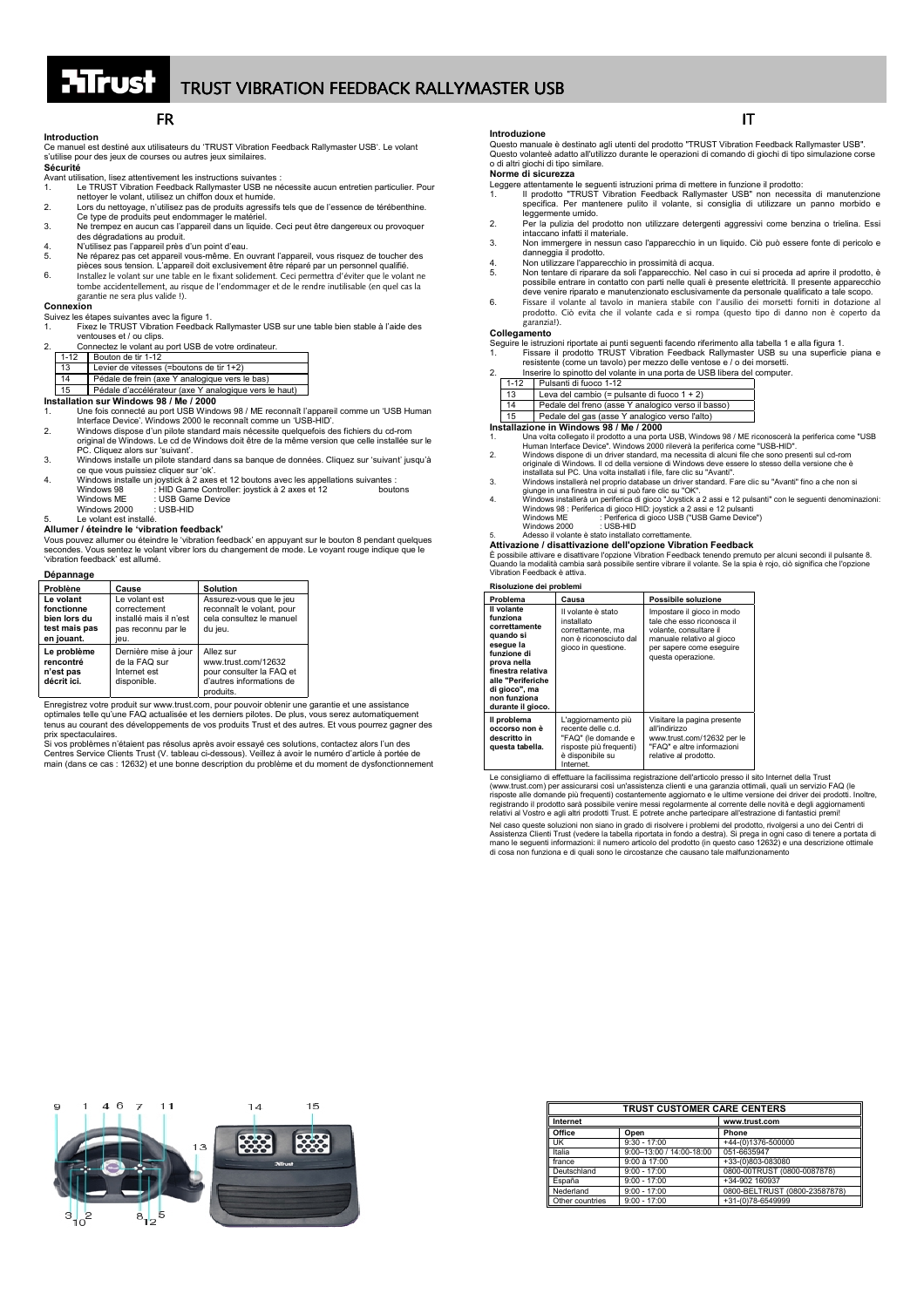## **Introduction**

Ce manuel est destiné aux utilisateurs du 'TRUST Vibration Feedback Rallymaster USB'. Le volant s'utilise pour des jeux de courses ou autres jeux similaires.

**Sécurité** Avant utilisation, lisez attentivement les instructions suivantes :

- 1. Le TRUST Vibration Feedback Rallymaster USB ne nécessite aucun entretien particulier. Pour nettoyer le volant, utilisez un chiffon doux et humide.
- 
- 2. Lors du nettoyage, n'utilisez pas de produits agressifs tels que de l'essence de térébenthine.<br>Ce type de produits peut endommager le matériel.<br>3. Ne trempez en aucun cas l'appareil dans un liquide. Ceci peut être dange des dégradations au produit.
- des degradations au produit.<br>4. N'utilisez pas l'appareil près d'un point d'eau.<br>5. Ne réparez pas cet appareil vous-même. En l
- 5. Ne réparez pas cet appareil vous-même. En ouvrant l'appareil, vous risquez de toucher des pièces sous tension. L'appareil doit exclusivement être réparé par un personnel qualifié.
- 6. Installez le volant sur une table en le fixant solidement. Ceci permettra d'éviter que le volant ne tombe accidentellement, au risque de l'endommager et de le rendre inutilisable (en quel cas la garantie ne sera plus valide !).

### **Connexion**

Suivez les étapes suivantes avec la figure 1. 1. Fixez le TRUST Vibration Feedback Rallymaster USB sur une table bien stable à l'aide des

| ventouses et / ou clips. |                                                      |                                                                               |
|--------------------------|------------------------------------------------------|-------------------------------------------------------------------------------|
| $\mathcal{P}$            | Connectez le volant au port USB de votre ordinateur. |                                                                               |
|                          | $1 - 12$                                             | Bouton de tir 1-12                                                            |
| 13                       |                                                      | Levier de vitesses (=boutons de tir 1+2)                                      |
| 14                       |                                                      | Pédale de frein (axe Y analogique vers le bas)                                |
| $\overline{4E}$          |                                                      | Did delle disease il factorico force Microsoft alla creative con la la creati |

# 15 Pédale d'accélérateur (axe Y analogique vers le haut) **Installation sur Windows 98 / Me / 2000**

- 1. Une fois connecté au port USB Windows 98 / ME reconnaît l'appareil comme un 'USB Human Interface Device'. Windows 2000 le reconnaît comme un 'USB-HID'.
- 2. Windows dispose d'un pilote standard mais nécessite quelquefois des fichiers du cd-rom original de Windows. Le cd de Windows doit être de la même version que celle installée sur le PC. Cliquez alors sur 'suivant'.
- 3. Windows installe un pilote standard dans sa banque de données. Cliquez sur 'suivant' jusqu'à
- ce que vous puissiez cliquer sur 'ok'. 4. Windows installe un joystick à 2 axes et 12 boutons avec les appellations suivantes : Windows 98 : HID Game Controller: joystick à 2 axes et 12 boutons Windows ME : USB Game Device<br>Windows 2000 : USB HID Windows 2000
- Le volant est installé.

### **Allumer / éteindre le 'vibration feedback'**

Vous pouvez allumer ou éteindre le 'vibration feedback' en appuyant sur le bouton 8 pendant quelques secondes. Vous sentez le volant vibrer lors du changement de mode. Le voyant rouge indique que le 'vibration feedback' est allumé.

| Dépannage                                                              |                                                                                       |                                                                                                       |
|------------------------------------------------------------------------|---------------------------------------------------------------------------------------|-------------------------------------------------------------------------------------------------------|
| Problène                                                               | Cause                                                                                 | <b>Solution</b>                                                                                       |
| Le volant<br>fonctionne<br>bien lors du<br>test mais pas<br>en jouant. | Le volant est<br>correctement<br>installé mais il n'est<br>pas reconnu par le<br>ieu. | Assurez-vous que le jeu<br>reconnaît le volant, pour<br>cela consultez le manuel<br>du jeu.           |
| Le problème<br>rencontré<br>n'est pas<br>décrit ici.                   | Dernière mise à jour<br>de la FAQ sur<br>Internet est<br>disponible.                  | Allez sur<br>www.trust.com/12632<br>pour consulter la FAQ et<br>d'autres informations de<br>produits. |

Enregistrez votre produit sur www.trust.com, pour pouvoir obtenir une garantie et une assistance<br>optimales telle qu'une FAQ actualisée et les derniers pilotes. De plus, vous serez automatiquement<br>tenus au courant des dével

prix spectaculaires. Si vos problèmes n'étaient pas résolus après avoir essayé ces solutions, contactez alors l'un des Centres Service Clients Trust (V. tableau ci-dessous). Veillez à avoir le numéro d'article à portée de main (dans ce cas : 12632) et une bonne description du problème et du moment de dysfonctionnement

### **Introduzione**

## Questo manuale è destinato agli utenti del prodotto "TRUST Vibration Feedback Rallymaster USB".<br>Questo volanteè adatto all'utilizzo durante le operazioni di comando di giochi di tipo simulazione corse o di altri giochi di tipo similare.

## **Norme di sicurezza**

- Leggere attentamente le seguenti istruzioni prima di mettere in funzione il prodotto:<br>1. Il prodotto "TRUST Vibration Feedback Rallymaster USB" non necessita di manutenzione
- 1. Il prodotto "TRUST Vibration Feedback Rallymaster USB" non necessita di manutenzione specifica. Per mantenere pulito il volante, si consiglia di utilizzare un panno morbido e leggermente umido.
- 2. Per la pulizia del prodotto non utilizzare detergenti aggressivi come benzina o trielina. Essi intaccano infatti il materiale.
- 3. Non immergere in nessun caso l'apparecchio in un liquido. Ciò può essere fonte di pericolo e danneggia il prodotto.
- 4. Non utilizzare l'apparecchio in prossimità di acqua.
- 5. Non tentare di riparare da soli l'apparecchio. Nel caso in cui si proceda ad aprire il prodotto, è possibile entrare in contatto con parti nelle quali è presente elettricità. Il presente apparecchio
- deve venire riparato e manutenzionato esclusivamente da personale qualificato a tale scopo. 6. Fissare il volante al tavolo in maniera stabile con l'ausilio dei morsetti forniti in dotazione al prodotto. Ciò evita che il volante cada e si rompa (questo tipo di danno non è coperto da garanzia!).

## **Collegamento**

Seguire le istruzioni riportate ai punti seguenti facendo riferimento alla tabella 1 e alla figura 1. 1. Fissare il prodotto TRUST Vibration Feedback Rallymaster USB su una superficie piana e resistente (come un tavolo) per mezzo delle ventose e / o dei morsetti. 2. Inserire lo spinotto del volante in una porta de USB libera del computer.

|    | Inserire lo spinotto del volante in una porta de USB libera del o |  |
|----|-------------------------------------------------------------------|--|
|    | 1-12 Pulsanti di fuoco 1-12                                       |  |
| 13 | Leva del cambio (= pulsante di fuoco $1 + 2$ )                    |  |
|    |                                                                   |  |

| l 14 |  | Pedale del freno (asse Y analogico verso il basso) |  |
|------|--|----------------------------------------------------|--|
|      |  | Rodale del gas (asse Vianglegies verso l'alto)     |  |

# 15 Pedale del gas (asse Y analogico verso l'alto) **Installazione in Windows 98 / Me / 2000**

- 1. Una volta collegato il prodotto a una porta USB, Windows 98 / ME riconoscerà la periferica come "USB Human Interface Device". Windows 2000 rileverà la periferica come "USB-HID". 2. Windows dispone di un driver standard, ma necessita di alcuni file che sono presenti sul cd-rom
- originale di Windows. Il cd della versione di Windows deve essere lo stesso della versione che è
- installata sul PC. Una volta installati i file, fare clic su "Avanti".<br>Windows installerà nel proprio database un driver standard. Fare clic su "Avanti" fino a che non si
- 3. Windows installerà nel proprio database un driver standard. Fare clic su "Avanti" fino a che non si<br>giunge in una finestra in cui si può fare clic su "OK".<br>Windows installerà un perferica di gioco "Joystick a 2 assi e 1
- -

# 5. Adesso il volante è stato installato correttamente. **Attivazione / disattivazione dell'opzione Vibration Feedback**

È possibile attivare e disattivare l'opzione Vibration Feedback tenendo premuto per alcuni secondi il pulsante 8. Quando la modalità cambia sarà possibile sentire vibrare il volante. Se la spia è rojo, ciò significa che l'opzione Vibration Feedback è attiva.

| Risoluzione dei problemi |  |
|--------------------------|--|

| Problema                                                                                                                                                                                        | Causa                                                                                                                        | Possibile soluzione                                                                                                                                               |  |  |
|-------------------------------------------------------------------------------------------------------------------------------------------------------------------------------------------------|------------------------------------------------------------------------------------------------------------------------------|-------------------------------------------------------------------------------------------------------------------------------------------------------------------|--|--|
| Il volante<br>funziona<br>correttamente<br>quando si<br>esegue la<br>funzione di<br>prova nella<br>finestra relativa<br>alle "Periferiche<br>di gioco", ma<br>non funziona<br>durante il gioco. | Il volante è stato<br>installato<br>correttamente, ma<br>non è riconosciuto dal<br>gioco in questione.                       | Impostare il gioco in modo<br>tale che esso riconosca il<br>volante, consultare il<br>manuale relativo al gioco<br>per sapere come eseguire<br>questa operazione. |  |  |
| Il problema<br>occorso non è<br>descritto in<br>questa tabella.                                                                                                                                 | L'aggiornamento più<br>recente delle c.d.<br>"FAQ" (le domande e<br>risposte più frequenti)<br>è disponibile su<br>Internet. | Visitare la pagina presente<br>all'indirizzo<br>www.trust.com/12632 per le<br>"FAQ" e altre informazioni<br>relative al prodotto.                                 |  |  |

Le consigliamo di effettuare la facilissima registrazione dell'articolo presso il sito Internet della Trust (www.trust.com) per assicurarsi così un'assistenza clienti e una garanzia ottimali, quali un servizio FAQ (le<br>risposte alle domande più frequenti) costantemente aggiornato e le ultime versione dei driver dei prodotti. Inol Nel caso queste soluzioni non siano in grado di risolvere i problemi del prodotto, rivolgersi a uno dei Centri di Assistenza Clienti Trust (vedere la tabella riportata in fondo a destra). Si prega in ogni caso di tenere a portata di mano le seguenti informazioni: il numero articolo del prodotto (in questo caso 12632) e una descrizione ottimale di cosa non funziona e di quali sono le circostanze che causano tale malfunzionamento



| <b>TRUST CUSTOMER CARE CENTERS</b> |                          |                               |  |
|------------------------------------|--------------------------|-------------------------------|--|
| Internet                           |                          | www.trust.com                 |  |
| Office                             | Open                     | Phone                         |  |
| UK                                 | $9:30 - 17:00$           | +44-(0)1376-500000            |  |
| Italia                             | 9:00-13:00 / 14:00-18:00 | 051-6635947                   |  |
| france                             | 9:00 à 17:00             | +33-(0)803-083080             |  |
| Deutschland                        | $9:00 - 17:00$           | 0800-00TRUST (0800-0087878)   |  |
| España                             | $9:00 - 17:00$           | +34-902 160937                |  |
| Nederland                          | $9:00 - 17:00$           | 0800-BELTRUST (0800-23587878) |  |
| Other countries                    | $9:00 - 17:00$           | +31-(0)78-6549999             |  |

## FR  $\blacksquare$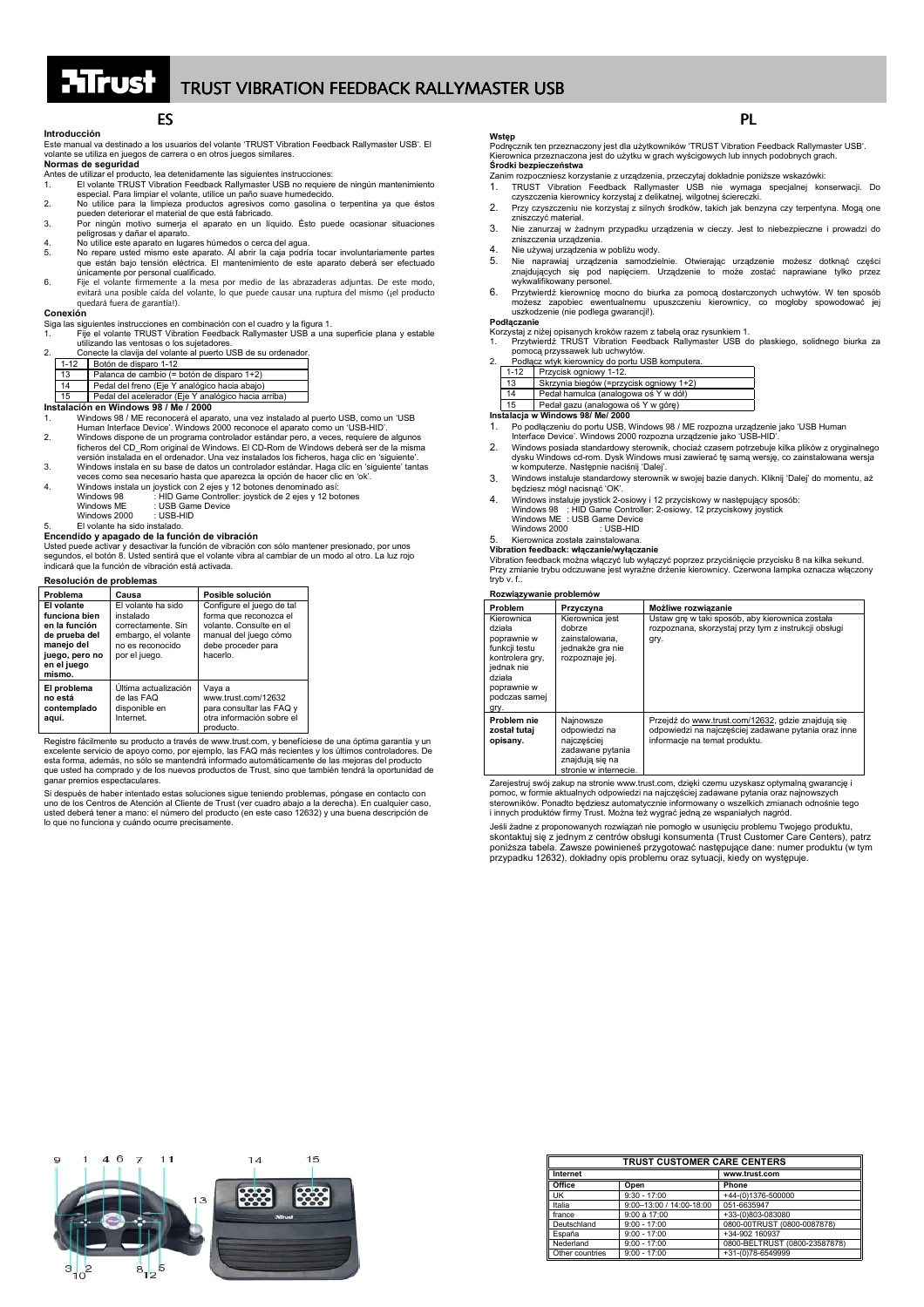## **Introducción**

Este manual va destinado a los usuarios del volante 'TRUST Vibration Feedback Rallymaster USB'. El volante se utiliza en juegos de carrera o en otros juegos similares.

**Normas de seguridad**

- Antes de utilizar el producto, lea detenidamente las siguientes instrucciones: 1. El volante TRUST Vibration Feedback Rallymaster USB no requiere de ningún mantenimiento especial. Para limpiar el volante, utilice un paño suave humedecido.
- 2. No utilice para la limpieza productos agresivos como gasolina o terpentina ya que éstos pueden deteriorar el material de que está fabricado. 3. Por ningún motivo sumerja el aparato en un líquido. Ésto puede ocasionar situaciones
- peligrosas y dañar el aparato.
- 4. No utilice este aparato en lugares húmedos o cerca del agua.<br>5. No repare usted mismo este aparato. Al abrir la caja podría tocar involuntariamente partes<br>que están bajo tensión eléctrica. El mantenimiento de este a
- únicamente por personal cualificado. 6. Fije el volante firmemente a la mesa por medio de las abrazaderas adjuntas. De este modo, evitará una posible caída del volante, lo que puede causar una ruptura del mismo (¡el producto quedará fuera de garantía!).

## **Conexión**

Siga las siguientes instrucciones en combinación con el cuadro y la figura 1. 1. Fije el volante TRUST Vibration Feedback Rallymaster USB a una superficie plana y estable utilizando las ventosas o los sujetadores.

|    | Conecte la clavija del volante al puerto USB de su ordenador. |
|----|---------------------------------------------------------------|
|    | 1-12 Botón de disparo 1-12                                    |
| 12 | Palanca de cambio (= botón de disparo 1+2)                    |

- 13 Palanca de cambio (= botón de disparo 1+2) 14 Pedal del freno (Eje Y analógico hacia abajo) 15 Pedal del acelerador (Eje Y analógico hacia arriba)
- **Instalación en Windows 98 / Me / 2000**

- 1. Windows 98 / ME reconocerá el aparato, una vez instalado al puerto USB, como un 'USB Human Interface Device'. Windows 2000 reconoce el aparato como un 'USB-HID'.
- 2. Vindows dispone de un programa controlador estándar pero, a veces, requiere de algunos<br>ficheros del CD\_Rom original de Windows. El CD-Rom de Windows deberá ser de la misma<br>versión instalada en el ordenador. Una vez inst
- veces como sea necesario hasta que aparezca la opción de hacer clic en 'ok'.
- 4. Windows instala un joystick con 2 ejes y 12 botones denominado así: Windows 98 : HID Game Controller: joystick de 2 ejes y 12 botones Windows ME : USB Game Device
- 

Windows 2000 : USB-HID

5. El volante ha sido instalado. **Encendido y apagado de la función de vibración**

Usted puede activar y desactivar la función de vibración con sólo mantener presionado, por unos<br>segundos, el botón 8. Usted sentirá que el volante vibra al cambiar de un modo al otro. La luz rojo<br>indicará que la función de

### **Resolución de problemas**

| Problema                                                                                                               | Causa                                                                                                             | Posible solución                                                                                                                          |
|------------------------------------------------------------------------------------------------------------------------|-------------------------------------------------------------------------------------------------------------------|-------------------------------------------------------------------------------------------------------------------------------------------|
| El volante<br>funciona bien<br>en la función<br>de prueba del<br>manejo del<br>juego, pero no<br>en el juego<br>mismo. | El volante ha sido<br>instalado<br>correctamente. Sin<br>embargo, el volante<br>no es reconocido<br>por el juego. | Configure el juego de tal<br>forma que reconozca el<br>volante. Consulte en el<br>manual del juego cómo<br>debe proceder para<br>hacerlo. |
| El problema<br>no está<br>contemplado<br>aguí.                                                                         | Última actualización<br>de las FAO<br>disponible en<br>Internet.                                                  | Vaya a<br>www.trust.com/12632<br>para consultar las FAQ y<br>otra información sobre el<br>producto.                                       |

Registre fácilmente su producto a través de www.trust.com, y benefíciese de una óptima garantía y un excelente servicio de apoyo como, por ejemplo, las FAQ más recientes y los últimos controladores. De esta forma además, no sólo se mantendrá informado automáticamente de las mejoras del producto esta forma, además, no sólo se mantendrá informado automáticamente de las mejoras del producto que usted ha comprado y de los nuevos productos de Trust, sino que también tendrá la oportunidad de ganar premios espectaculares.

Si después de haber intentado estas soluciones sigue teniendo problemas, póngase en contacto con uno de los Centros de Atención al Cliente de Trust (ver cuadro abajo a la derecha). En cualquier caso, usted deberá tener a mano: el número del producto (en este caso 12632) y una buena descripción de lo que no funciona y cuándo ocurre precisamente.

## **Wstęp**

Podręcznik ten przeznaczony jest dla użytkowników 'TRUST Vibration Feedback Rallymaster USB'. Kierownica przeznaczona jest do użytku w grach wyścigowych lub innych podobnych grach. **Środki bezpieczeństwa**

Zanim rozpoczniesz korzystanie z urządzenia, przeczytaj dokładnie poniższe wskazówki:

- 1. TRUST Vibration Feedback Rallymaster USB nie wymaga specjalnej konserwacji. Do czyszczenia kierownicy korzystaj z delikatnej, wilgotnej ściereczki.
- 2. Przy czyszczeniu nie korzystaj z silnych środków, takich jak benzyna czy terpentyna. Mogą one zniszczyć materiał.
- 3. Nie zanurzaj w żadnym przypadku urządzenia w cieczy. Jest to niebezpieczne i prowadzi do zniszczenia urządzenia.
- 4. Nie używaj urządzenia w pobliżu wody.<br>5. Nie naprawiai urzadzenia samodzi
- 5. Nie naprawiaj urządzenia samodzielnie. Otwierając urządzenie możesz dotknąć części znajdujących się pod napięciem. Urządzenie to może zostać naprawiane tylko przez wykwalifikowany personel.

## 6. Przytwierdź kierownicę mocno do biurka za pomocą dostarczonych uchwytów. W ten sposób możesz zapobiec ewentualnemu upuszczeniu kierownicy, co mogłoby spowodować jej uszkodzenie (nie podlega gwarancji!).

## **Podłączanie**

Korzystaj z niżej opisanych kroków razem z tabelą oraz rysunkiem 1. 1. Przytwierdź TRUST Vibration Feedback Rallymaster USB do płaskiego, solidnego biurka za

- pomocą przyssawek lub uchwytów. 2. Podłącz wtyk kierownicy do portu USB komputera.
- 

| $1 - 12$ | Przycisk ogniowy 1-12.                  |
|----------|-----------------------------------------|
| 13       | Skrzynia biegów (=przycisk ogniowy 1+2) |
| 14       | Pedał hamulca (analogowa oś Y w dół)    |
| 15       | Pedał gazu (analogowa oś Y w górę)      |

### **Instalacja w Windows 98/ Me/ 2000**

1. Po podłączeniu do portu USB, Windows 98 / ME rozpozna urządzenie jako 'USB Human

Interface Device'. Windows 2000 rozpozna urządzenie jako 'USB-HID'.

- 2. Windows posiada standardowy sterownik, chociaż czasem potrzebuje kilka plików z oryginalnego<br>dysku Windows cd-rom. Dysk Windows musi zawierać tę samą wersję, co zainstalowana wersja<br>w komputerze. Następnie naciśnij 'Dal
- 3. Windows instaluje standardowy sterownik w swojej bazie danych. Kliknij 'Dalej' do momentu, aż będziesz mógł nacisnąć 'OK'.
- 4. Windows instaluje joystick 2-osiowy i 12 przyciskowy w następujący sposób: Windows 98 : HID Game Controller: 2-osiowy, 12 przyciskowy joystick Windows ME : USB Game Device Windows 2000 : USB-HID

## 5. Kierownica została zainstalowana.

## **Vibration feedback: włączanie/wyłączanie**

Vibration feedback można włączyć lub wyłączyć poprzez przyciśnięcie przycisku 8 na kilka sekund. Przy zmianie trybu odczuwane jest wyraźne drżenie kierownicy. Czerwona lampka oznacza włączony tryb v. f..

### **Rozwiązywanie problemów**

| Problem                                                                                                                                 | Przyczyna                                                                                                 | Możliwe rozwiazanie                                                                                                                         |  |
|-----------------------------------------------------------------------------------------------------------------------------------------|-----------------------------------------------------------------------------------------------------------|---------------------------------------------------------------------------------------------------------------------------------------------|--|
| Kierownica<br>działa<br>poprawnie w<br>funkcji testu<br>kontrolera gry,<br>iednak nie<br>działa<br>poprawnie w<br>podczas samej<br>gry. | Kierownica jest<br>dobrze<br>zainstalowana.<br>jednakże gra nie<br>rozpoznaje jej.                        | Ustaw gre w taki sposób, aby kierownica została<br>rozpoznana, skorzystaj przy tym z instrukcji obsługi<br>gry.                             |  |
| Problem nie<br>został tutaj<br>opisany.                                                                                                 | Najnowsze<br>odpowiedzi na<br>najczęściej<br>zadawane pytania<br>znajdują się na<br>stronie w internecie. | Przejdź do www.trust.com/12632, gdzie znajdują się<br>odpowiedzi na najczęściej zadawane pytania oraz inne<br>informacje na temat produktu. |  |

Zarejestruj swój zakup na stronie www.trust.com, dzięki czemu uzyskasz optymalną gwarancję i pomoc, w formie aktualnych odpowiedzi na najczęściej zadawane pytania oraz najnowszych sterowników. Ponadto będziesz automatycznie informowany o wszelkich zmianach odnośnie tego i innych produktów firmy Trust. Można też wygrać jedną ze wspaniałych nagród.

Jeśli żadne z proponowanych rozwiązań nie pomogło w usunięciu problemu Twojego produktu, skontaktuj się z jednym z centrów obsługi konsumenta (Trust Customer Care Centers), patrz poniższa tabela. Zawsze powinieneś przygotować następujące dane: numer produktu (w tym przypadku 12632), dokładny opis problemu oraz sytuacji, kiedy on występuje.



| <b>TRUST CUSTOMER CARE CENTERS</b> |                          |                               |
|------------------------------------|--------------------------|-------------------------------|
| Internet                           |                          | www.trust.com                 |
| Office                             | Open                     | Phone                         |
| UK                                 | $9:30 - 17:00$           | +44-(0)1376-500000            |
| Italia                             | $9:00-13:00/14:00-18:00$ | 051-6635947                   |
| france                             | 9:00 à 17:00             | +33-(0)803-083080             |
| Deutschland                        | $9:00 - 17:00$           | 0800-00TRUST (0800-0087878)   |
| España                             | $9:00 - 17:00$           | +34-902 160937                |
| Nederland                          | $9:00 - 17:00$           | 0800-BELTRUST (0800-23587878) |
| Other countries                    | $9:00 - 17:00$           | +31-(0)78-6549999             |

## ES PLAN AND THE SAME SERVICE SERVICES AND LOCAL CONTINUES. THE SAME SERVICE SERVICE SERVICE SERVICE SERVICE SE